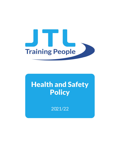

# Health and Safety **Policy**

2021/22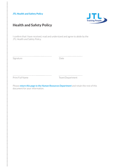### JTL Health and Safety Policy



# Health and Safety Policy

I confirm that I have received, read and understand and agree to abide by the JTL Health and Safety Policy.

…………………………………............…......…………… ………………......…......…........… Signature Date

………………………………..……..................…………. ………………..................…..…… Print Full Name Team/Department

Please **return this page to the Human Resources Department** and retain the rest of this document for your information.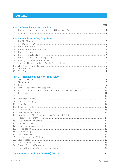|                  | <b>Part A - General Statement of Policy</b>    |  |
|------------------|------------------------------------------------|--|
|                  |                                                |  |
| 2.               |                                                |  |
|                  | <b>Part B - Health and Safety Organisation</b> |  |
|                  |                                                |  |
| 2.               |                                                |  |
| 3.               |                                                |  |
| $\overline{4}$ . |                                                |  |
| 5.               |                                                |  |
| 6.               |                                                |  |
| 7.               |                                                |  |
| 8.               |                                                |  |
| 9.               |                                                |  |
| 10.              |                                                |  |
| 11.              |                                                |  |
|                  |                                                |  |

## **Part C - Arrangements for Health and Safety**

| 1.  |                                                                |  |  |  |
|-----|----------------------------------------------------------------|--|--|--|
| 2.  |                                                                |  |  |  |
| 3.  |                                                                |  |  |  |
| 4.  |                                                                |  |  |  |
| 5.  |                                                                |  |  |  |
| 6.  |                                                                |  |  |  |
| 7.  |                                                                |  |  |  |
| 8.  |                                                                |  |  |  |
| 9.  |                                                                |  |  |  |
| 10. |                                                                |  |  |  |
| 11. |                                                                |  |  |  |
| 12. |                                                                |  |  |  |
| 13. |                                                                |  |  |  |
| 14. | Introduction of New Plant, Machinery, Equipment, Substances or |  |  |  |
|     |                                                                |  |  |  |
| 15. |                                                                |  |  |  |
| 16. |                                                                |  |  |  |
| 17. |                                                                |  |  |  |
| 18. |                                                                |  |  |  |
| 19. |                                                                |  |  |  |
| 20. |                                                                |  |  |  |
| 21. |                                                                |  |  |  |
| 22. |                                                                |  |  |  |
| 23. |                                                                |  |  |  |
| 24. |                                                                |  |  |  |
| 25. |                                                                |  |  |  |
|     |                                                                |  |  |  |
|     |                                                                |  |  |  |

Page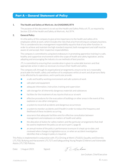# **Part A – General Statement of Policy**

#### **1. The Health and Safety at Work etc. Act (HASAWA) 1974**

The purpose of this document is to set out the Health and Safety Policy of JTL as required by Section 2(3) of the Health and Safety at Work etc. Act 1974.

#### **2. General Policy**

It is the policy of this company to give prime importance to the health and safety of its employees whilst at work, which includes the risks that arise from driving on company business. This is considered to be a management responsibility equal to that of any other function. In order to achieve and maintain the high standard required, both management and staff must be aware of, and accept, their respective responsibilities.

The company is committed to using best endeavours in promoting apprentice training in a safe, healthy and supportive environment within the scope of health and safety legislation, and by adopting and encouraging the industry to use methods of best practice.

JTL is committed to ensuring that consideration is given to vulnerable learners and that appropriate action is taken as necessary to ensure their health and safety.

The company will, through its organisational arrangements, ensure so far as is reasonably practicable the health, safety and welfare of its employees whilst at work and all persons likely to be affected by its operations, and in particular provide:

- **•** a safe and healthy working environment and safe systems of work
- **•** safe plant and equipment
- **•** adequate information, instruction, training and supervision
- **•** safe storage for all inherently dangerous materials and substances
- **•** facilities for the treatment of any injuries that occur at work
- **•** effective procedures for the evacuation of buildings or other areas in the event of fire, explosion or any other emergency
- **•** a system to record all accidents and dangerous occurrences
- **•** a system to monitor accidents and ill health in order to reduce the frequency and likelihood of these incidents occurring
- **•** assurance that adequate facilities exist for effective consultation between management and employees on matters of health and safety
- **•** the allocation of duties for safety matters and the particular arrangements that shall be used to implement the policy as set out in part C (page 8)
- an annual review of the policy's performance to ensure it is kept up-to-date, and reviewed when changes to legislation occur, or when an accident investigation identifies that a change in policy is required.

This Policy is implemented in conjunction with JTL's Driving at Work (JTL825), Equality and Diversity (JTL701), Bullying and Harassment (JTL727) and Safeguarding Young People (Children) and Vulnerable Adults (JTL730) Policies.

Date: 1 August 2021 Signed:

TEGAham

Jon Graham, Chief Executive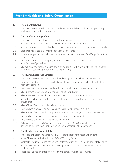# **Part B – Health and Safety Organisation**

#### **1. The Chief Executive**

The Chief Executive will have overall and final responsibility for all matters pertaining to health and safety within the company.

#### **2. The Chief Operating Officer**

The Chief Operating Officer has the following responsibilities and will ensure that:

- 2.1 adequate resources are available to fully meet company obligations
- 2.2 adequate employer's and public liability insurances are in place and maintained annually
- 2.3 adequate insurance is maintained for all company vehicles
- 2.4 only company-approved vehicles are made available to members of staff supplied with a company car
- 2.5 routine maintenance of company vehicles is carried out in accordance with manufacturers' guidelines
- 2.6 all electronic equipment supplied and provided to all staff is of a quality to ensure safety identified as such by appropriate CE or BS markings.

#### **3. The Human Resources Director**

The Human Resources Director has the following responsibilities and will ensure that:

- 3.1 they maintain day-to-day responsibility for all matters pertaining to health and safety within the company
- 3.2 they liaise with the Head of Health and Safety on all matters of health and safety
- 3.3 all employees receive adequate training in health and safety
- 3.4 all staff receive the Health and Safety Policy upon commencement of work. In addition to the above, with regards to driving on company business, they will also ensure that:
- 3.5 all staff identified have a valid driving licence
- 3.6 routine checks are carried out to ensure that driving licences are valid
- 3.7 all staff identified have fully comprehensive insurance cover, inclusive of business use
- 3.8 routine checks are carried out to ensure insurance remains valid
- 3.9 routine checks of MoT certificates are carried out
- 3.10 Driving at Work policy is issued to all new members of staff who will be required to drive as part of their working routine on commencement of employment.

#### **4. The Head of Health and Safety**

The Head of Health and Safety (CMIOSH) has the following responsibilities to:

- 4.1 act as Chairman of the Health and Safety Working Party
- 4.2 control the national co-ordination and implementation of JTL's Health and Safety Policy
- 4.3 advise the Directors on matters concerning health and safety management and its implementation
- 4.4 supervise the implementation of health and safety practices as required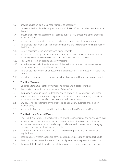- 4.5 provide advice on legislative requirements as necessary
- 4.6 supervise the health and safety inspections of all JTL offices and other premises under its control
- 4.7 ensure that a fire risk assessment is carried out at all JTL offices and other premises under its control
- 4.8 organise and co-ordinate accident reporting procedures and documentation
- 4.9 co-ordinate the conduct of accident investigations and to report the findings direct to the Directors
- 4.10 review periodically the organisational arrangements
- 4.11 provide such training and documentation as may be necessary from time to time in order to promote awareness of health and safety within the company
- 4.12 liaise with all staff on health and safety matters
- 4.13 appraise periodically the effectiveness of the policy and ensure that any necessary changes are made through the working party
- 4.14 co-ordinate the completion of documentation concerning staff induction in health and safety
- 4.15 report non-compliance with the policy to the Directors and Managers as appropriate.

#### **5. The Line Managers**

Line managers have the following responsibilities and must ensure that:

- 5.1 they are familiar with the requirements of the policy
- 5.2 the policy is communicated, understood and followed by all members of their team
- 5.3 team members are not placed in a position that leads to, or encourages, a breach of policy as a result of unrealistic workloads, schedules and targets
- 5.4 any issues raised regarding driving/travelling on company business are acted on appropriately
- 5.5 any breach of policy is reported to the Head of Health and Safety or a Director.

#### **6. The Health and Safety Officers**

The Health and Safety Officers have the following responsibilities and must ensure that:

- 6.1 accident investigations are carried out to meet both legal and contractual duties and, where necessary, recommending appropriate remedial measures encouraging employers to adopt methods of best practice
- 6.2 staff training in manual handling and display screen equipment is carried out on a regular basis
- 6.3 health and safety team audits are carried out and completed to an agreed schedule
- 6.4 the issue and use of suitable items of personal protective equipment is carried out
- 6.5 they assist the Head of Health and Safety as required in all areas of health and safety.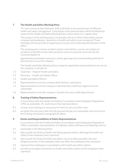#### **7. The Health and Safety Working Party**

JTL sees communication between staff at all levels as an essential part of effective health and safety management. Consultation and communication will be facilitated by means of the Health and Safety Working Party, which meets on a regular basis.

The purpose of the working party is to provide a forum in which information may be conveyed and employees' questions on health and safety issues answered. These meetings will also provide an opportunity to assess the continuing effectiveness of the policy.

The working party reviews accident reports and statistics, carries out analysis of accidents to identify trends, takes proactive action to prevent recurrence by the recommendation of

appropriate preventative measures, and by agreeing and recommending methods of best practice across the company.

The Health and Safety Working Party comprises appointed representatives from across the company. It consists of:

- 7.1 Chairman Head of Health and Safety
- 7.2 Secretary Health and Safety Officer
- 7.3 Health and Safety Officers
- 7.4 Representatives from the company field 'Delivery' operations
- 7.5 Representatives from the company's administrative staff from regional centres nationwide
- 7.6 Representatives from the company's Quality Assurance (QA) departments.

#### **8. Training of Safety Representatives**

In accordance with the Health and Safety (Consultation with Employees) Regulations 1996 (as amended), JTL shall ensure that representatives:

- 8.1 receive such training as is necessary for them to carry out their roles
- 8.2 are given the necessary time off with pay and will pay any reasonable costs incurred in the training mentioned in paragraph 8.1 above.

#### **9. Duties and Responsibilities of Safety Representatives**

In accordance with the Health and Safety (Consultation with Employees) Regulations 1966 as amended, representatives of employee safety shall have the following roles to:

- 9.1 participate in the Working Party
- 9.2 take up with the Head of Health and Safety general matters affecting the health and safety of the employees they represent
- 9.3 take up with the Head of Health and Safety concerns about possible risks and dangerous events in the workplace that may affect the employees they represent
- 9.4 represent the employees in consultation with health and safety matters
- 9.5 provide local support and advice on health and safety matters to the employees they represent.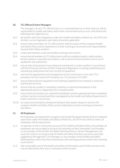#### **10. JTL Offices/Centre Managers**

The managers of each JTL office/centre, or a nominated person in their absence, will be responsible for health and safety within their environment and, as such, will achieve the following main objectives to:

- 10.1 be familiar with their obligations under the Health and Safety at Work etc. Act 1974 and all other current legislation and codes of practice applicable;
- 10.2 ensure that all members of JTL office/centre staff are aware of the company Health and Safety Policy and its implications to their working environment and responsibilities towards their fellow workers;
- 10.3 create and maintain a safe and healthy working environment;
- 10.4 ensure that all members of JTL office/centre staff are suitably trained in safety matters, fire precautions, evacuation procedures, safe systems of work and the correct use of equipment and substances
- 10.5 ensure that all equipment is provided and maintained in a safe condition in accordance with the Provision and Use of Work Equipment Regulation. Including establishing and maintaining maintenance/service records of equipment
- 10.6 oversee the appointment and management of sub-contractors in line with JTL's procedure for the Control of Contactors on JTL premises (JTL 881)
- 10.7 ensure that protective equipment and clothing supplied by the company is used and maintained correctly
- 10.8 ensure that any unsafe or unhealthy condition is reported immediately to the appropriate person or department for remedial action
- 10.9 ensure that all accidents are reported immediately and the appropriate form completed so that it can be recorded and fully investigated by the Health and Safety Department in order to prevent a recurrence
- 10.10 set a personal example by doing everything in their power always to work to the company Health and Safety Policy and its implications to their working environment and others.

#### **11. All Employees**

All employees are expected to recognise and accept the general duties that are imposed upon them under the Health and Safety at Work etc. Act 1974 and, whilst at work, all employees will be expected to:

- 11.1 co-operate, as this is vital to the success of this Health and Safety Policy. Accordingly, all employees are encouraged to bring to the attention of their immediate Line Manager, or any member of the Health and Safety Working Party or Senior Management, any cause for concern on the grounds of health and safety that they may have; and make suggestions through their Line Manager, or any member of the Health and Safety Working Party, which they feel will promote safe working practices within their working environment
- 11.2 take reasonable care of the health and safety of themselves and of other persons who may be affected by their acts or omissions whilst at work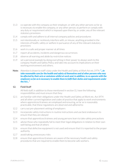- 11.3 co-operate with the company as their employer, or with any other persons so far as is necessary to enable the company, or any other person, to perform or comply with any duty or requirement which is imposed upon them by, or under, any of the relevant statutory provisions
- 11.4 comply with and adhere to all internal company policies and procedures
- 11.5 not intentionally or recklessly interfere with, or misuse, anything provided in the interests of health, safety or welfare in pursuance of any of the relevant statutory provisions
- 11.6 work in a safe and proper manner at all times
- 11.7 report all accidents, incidents and dangerous occurrences
- 11.8 observe all warning and abide by restrictive notices
- 11.9 set a personal example by doing everything in their power to always work to the company Health and Safety Policy and take into account its implications on their working environment and others.
- **Note:** Attention is drawn to staff's duty under the Health and Safety at Work Act etc.1974: *"...to take reasonable care for the health and safety of themselves and of other persons who may be affected by their acts or omissions whilst at work and, in addition, to co-operate with the employers so far as is necessary to enable them to fulfil their duties and requirements under the Act..."*

#### **12. Field Staff**

All field staff, in addition to those mentioned in section 11, have the following responsibilities and must ensure that they:

- 12.1 are familiar with their obligations under the Health and Safety at Work etc. Act 1974 and all other current legislation and codes of practice that apply to work environments where apprentices/trainees are employed and ensuring, as far as is reasonably practicable, that these regulations are observed and adhered to
- 12.2 carry out pre-placement vetting of employers
- 12.3 incorporate safety instructions in routine instructions and use best endeavours to ensure that they are obeyed
- 12.4 ensure that apprentices/trainees and young persons learn to take safety precautions
- 12.5 advise those who repeatedly fail to meet their legal obligations in relation to their own well-being and that of others
- 12.6 ensure that defective equipment is not used and ensure that it is reported to the proper authority
- 12.7 avoid taking unnecessary risks
- 12.8 ensure that apprentices/trainees are aware of the necessary health and safety procedures that are required to enable them to become safe workers.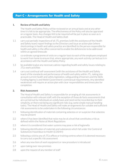# **Part C – Arrangements for Health and Safety**

#### **1. Review of Health and Safety**

The Health and Safety Policy will be reviewed on an annual basis and at any other time it is felt to be appropriate. The effectiveness of the Policy will also be appraised on a regular basis. Any changes felt to be required will be put in place as soon as is practicable. The Head of Health and Safety shall:

- 1.1 carry out periodic inspections of all JTL premises (with the assistance of the Health and Safety team) report findings to the Directors and issue an action plan (where shortcomings in health and safety practice are identified) to the person responsible for health and safety in the office concerned to enable the deficiencies to be addressed within an agreed timescale
- 1.2 co-ordinate a programme of visits on a regular basis to each of the employees employed to work from home to ensure that, where appropriate, any work activity carried out is in accordance with the Health and Safety Policy
- 1.3 be available to give any necessary advice regarding health and safety issues relating to JTL's work activities
- 1.4 carry out continual self-assessment (with the assistance of the Health and Safety team) of the standards and performance of health and safety within JTL, taking into account current health and safety legislation, safeguarding of learners and the Skills Funding Agency's and Welsh Government's contractual requirements. Any identified weaknesses will require an action plan with clear responsibilities and timescales for completion.

#### **2. Risk Assessment**

The Head of Health and Safety is responsible for arranging all risk assessments in consultation with relevant staff, with the exception of those de facto assessments that are carried out by individuals on a daily basis and need not be recorded due to their simplicity, or there not being any significant risks (e.g. some simple manual handling tasks). The Head of Health and Safety will make arrangements for suitable and sufficient risk assessments to be undertaken in the following circumstances:

- 2.1 following identification of materials containing asbestos or on suspicion that asbestos may be present
- 2.2 where it has been identified that noise may be at a level that constitutes a risk as defined within the Noise at Work Regulations
- 2.3 where it is considered that water systems may pose a risk of legionella
- 2.4 following identification of materials and substances which fall under the Control of Substances Hazardous to Health (COSHH)
- 2.5 following a visit to any of JTL's offices or training centres where it is deemed necessary to carry out a specific risk assessment
- 2.6 when any new item of work equipment or new procedure is introduced
- 2.7 upon taking over new premises
- 2.8 upon the request of any member of staff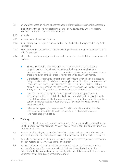- 2.9 on any other occasion where it becomes apparent that a risk assessment is necessary. In addition to the above, risk assessments shall be reviewed and, where necessary, modified under the following circumstances:
- 2.10 annually
- 2.11 following an accident investigation
- 2.12 following any incident reported under the terms of the Conflict Management Policy (Staff Handbook)
- 2.13 where there is reason to believe that an existing risk assessment may no longer be valid or fit for purpose
- 2.14 where there has been a significant change in the matters to which the risk assessment relates.
	- **•** The level of detail contained within the risk assessment shall be broadly proportionate to the risk involved. Where the hazards are well-known by all concerned and can easily be communicated from one person to another, or there is no significant risk, there is no need to write down the findings.
	- **•** Generic risk assessments concern those activities that have been evaluated as being broadly similar for different working locations. Should any member of staff notice any shortcoming within a generic risk assessment as it applies to their office or working location, they are to make this known to the Head of Health and Safety without delay so that the appropriate remedial action can be taken.
	- **•** A written record of all significant findings will be kept. A copy of the risk assessment, which will contain the significant hazards identified together with a list of those who might be harmed, how such harm might occur and the existing control measures used to reduce the risk, will be made known to relevant members of staff.
	- **•** Where existing control measures are found to be inadequate for control of the risk, measures will be taken to reduce the level of risk to the lowest level reasonably practicable.

#### **3. Training**

The Head of Health and Safety, after consultation with the Human Resources Director, Chief Operating Officer, National Delivery Director and, in conjunction with Employee Development, shall:

- 3.1 arrange for all employees to receive, from time to time, such information, instruction and training as may be thought necessary for the promotion of their health and safety
- 3.2 through the management structure, ensure all employees receive periodic information on such health and safety issues as may affect them
- 3.3 ensure that individual staff capabilities as regards health and safety are taken into account. Other areas for assessment should include, but not be limited to, the individual's ability to co-ordinate or manage health and safety, to operate items of work equipment or to lift and carry where appropriate.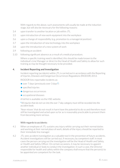With regards to the above, such assessments will usually be made at the induction stage, but will also be necessary for the following reasons:

- 3.4 upon transfer to another location or job within JTL
- 3.5 upon introduction of new work equipment into the workplace
- 3.6 upon a change of responsibility (e.g. promotion to a managerial position)
- 3.7 upon the introduction of new technology into the workplace
- 3.8 upon the introduction of a new system of work
- 3.9 following an accident
- 3.10 following significant absence as a result of a medical procedure.

Where a specific training need is identified, this should be made known to the individual's Line Manager or direct to the Head of Health and Safety to allow for such training as may be thought necessary to be provided.

#### **4. Incident Reporting and Investigation**

Incident reporting (accidents) within JTL is carried out in accordance with the Reporting of Injuries, Diseases and Dangerous Occurrences Regulations (RIDDOR) 2013.

RIDDOR lists reportable incidents as:

- **•**over 7 days (previously over 3 days\*)
- **•**specified injuries
- **•**dangerous occurrences
- **•**occupational diseases

A full list is available via the HSE website.

\**All injuries that do not run into the over 7-day category must still be recorded into the accident book.*

'Near misses' that do not result in harm have the potential to do so and therefore must still be investigated and acted upon so far as is reasonably practicable to prevent them from becoming more serious.

#### With regards to accidents:

- 4.1 When an employee of JTL sustains any injury whilst carrying out their normal duties and working at their normal place of work, details of the injury should be reported to their immediate line manager.
- 4.2 JTL sees accident investigation as a valuable tool in the prevention of future accidents. Accident investigations will be carried out, if necessary, by competent staff. In most cases the person carrying out the investigation will be the Head of Health and Safety, or Health and Safety Officer. On certain occasions, it may be necessary to appoint another individual or body to conduct the investigation. In such a case, the Director responsible for health and safety within the company shall ensure that the person(s) to be appointed are competent for the task.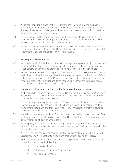- 4.3 All persons carrying out accident investigations are reminded that the purpose of an accident investigation is not to apportion blame. Accident investigations seek to discover the facts surrounding the accident and to make recommendations based on the findings so as to prevent recurrence.
- 4.4 JTL staff appointed to conduct accident investigations should use a camera on their company phone to record photographic evidence, if such evidence is deemed to be necessary by the person conducting the investigation.
- 4.5 Where recommendations to prevent recurrence have been made following an accident investigation, the Line Manager shall take action as may be necessary to ensure that the recommendations are implemented where practicable.

#### With regards to near misses:

- 4.6 Near misses are incidents that do not result in damage to equipment or injury to personnel, but which do have the potential to cause such loss. Examples include tripping over loose/ raised carpets, or narrowly being missed by objects falling from high shelving etc.
- 4.7 Where a member of JTL's staff experiences or witnesses a near miss, they are to report the incident to their line manager, health and safety representative, Health and Safety Officer or the Head of Health and Safety. JTL believes that reporting near misses is an important means of preventing accidents happening. Appropriate action can then be taken to prevent an accident from occurring.

#### **5. Emergencies: Procedures in the Event of Serious or Imminent Danger**

With regards to fire precautions, JTL is bound by the Fire Safety Order 2006 and must ensure, so far as is reasonably practicable, that all fire hazards are minimised and are controlled to the lowest level possible.

The fire arrangements applying to each of JTL's premises are displayed locally on the relevant notice boards. Local working instructions, which identify what must be done in the unfortunate event of a fire or during a drill, are available for all staff, with further information provided during inductions.

- 5.1 A fire risk assessment for each of JTL's premises will be carried out by a member of the health and safety team. The risk assessment will be available at each premise and shall be maintained on at least an annual basis.
- 5.2 It is the policy of JTL that staff do not attempt to fight a fire, other than a small wastepaper-bin fire, but to raise the alarm and evacuate the premises in accordance with the relevant fire procedures.
- 5.3 All JTL offices and centres will have nominated fire marshals who have been trained accordingly and will take charge in the event of an emergency being realised.

With regards to the points above, all staff will be given the following information and instruction concerning the following:

- a) how to raise the alarm
- b) action to be taken on discovering a fire
- c) evacuation procedure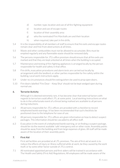- d) number, type, location and use of all fire-fighting equipment
- e) location and use of escape routes
- f) location of their assembly area
- g) who the nominated Fire Marshalls are and their location
- h) when required, take part in fire drills.
- 5.4 It is the responsibility of all members of staff to ensure that fire exits and escape routes remain clear and free from obstructions at all times.
- 5.5 Waste and other combustibles must not be allowed to accumulate. Bins must be emptied regularly and any flammable waste should be removed daily.
- 5.6 The persons responsible for JTL's office premises should ensure that all fire exits are marked and that they are kept unlocked at all times when the building is occupied.
- 5.7 Maintenance and testing of fire-fighting appliances is arranged locally by the person responsible for health and safety in that office.
- 5.8 Fire drills, evacuation procedures and alarm tests are carried out locally by arrangement with the landlord, or other parties responsible for fire safety within the building. Local work instructions apply.
- 5.9 Under no circumstances should fire extinguishers be used to prop open doors.
- 5.10 Fire doors labelled 'Fire Door Keep Shut' should not be kept wedged open during normal use.

#### **6. Terrorist Activity**

Although it is deemed extremely rare, it has become clear that external factors with regards to terrorism could affect JTL at some point. Local working instructions on what to do in the unfortunate event of a threat being realised are available to all persons during inductions.

- 6.1 All persons responsible for JTL's offices are provided with a checklist to record telephoned bomb warnings. It has been recommended that such checklists be positioned close to the telephone for ease of use.
- 6.2 All persons responsible for JTL's offices are given information on how to detect suspect packages. This information should be cascaded to all office staff.
- 6.3 Evacuation in the event of a telephoned bomb warning, or on finding a suspect package, should be via the nearest available 'safe' emergency exit or other route. Assembly points should be away from the building and from large expanses of glass. All staff will be made aware of the location of their assembly point.

#### **7. First Aid**

First aid facilities are provided at all JTL premises. The aim of first aid at work is to reduce the effects of injury or illness suffered while at work, be they caused by the work itself, or by some other factor outside of JTL's control.

7.1 All nominated appointed persons and first-aiders will be trained in accordance with The Health and Safety (First Aid) Regulations. All employees will be made aware of the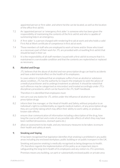appointed person or first-aider, and where he/she can be located, as well as the location of the office first-aid kit.

- 7.2 An 'appointed person' or 'emergency first aider' is someone who has been given the responsibility of maintaining the contents of the first-aid kit and who is capable of summoning help in an emergency.
- 7.3 A 'first-aider' is a person charged with rendering first aid at work and who holds a valid First Aid at Work certificate of competence in first aid at work.
- 7.4 Those members of staff who are employed to work at home and/or those who travel as a necessary part of their work for JTL are provided with a travelling first-aid kit that should be kept in their car.
- 7.5 It is the responsibility of all staff members issued with a first-aid kit to ensure that it is maintained in a serviceable condition and that the contents are replenished or replaced as necessary.

#### **8. Alcohol and Drugs**

JTL believes that the abuse of alcohol and non-prescription drugs can lead to accidents and have a detrimental effect on the health of its employees.

In cases where it is believed that an employee suffers from an alcohol or substance abuse condition, JTL has the authority to require the employee to seek the advice of a medical practitioner and to undergo treatment as advised. It should be noted that such offences may be categorised as misconduct and treated accordingly under JTL's disciplinary procedures, which can be found in the JTL Staff Handbook.

Therefore it is identified that employees must:

- 8.1 not carry out any duties for JTL whilst under the influence of alcohol or nonprescription drugs
- 8.2 inform their line manager, or the Head of Health and Safety, without prejudice to an individual's right to confidentiality as regards medical matters, of any prescription drugs they are currently taking which may affect their ability to work safely, or produces known side-effects
- 8.3 ensure clear communication of information including a description of the drug, how long the course will last and a note of any possible side-effects of which they may have been notified (drowsiness, stomach pains etc.)
- 8.4 allow an assessment to be made, and any necessary measures to be taken, to ensure their health and safety at work.

#### **9. Smoking and Vaping**

It has been recognised that legislation identifies that smoking is prohibited in any public areas including any enclosed workplace, public building or on public transport in the UK.

Smoking and passive smoking is medically recognised as being dangerous to health. JTL therefore regards the implementation of this policy as an important step in safeguarding the long-term health of its employees and any visitors to JTL's premises.

Premises means any building, car park or substantially enclosed public or private area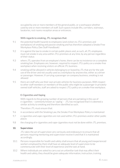occupied by one or more members of the general public, or a workspace whether used by one or more members of staff. Such spaces include lifts, corridors, stairways, lavatories, rest rooms reception areas or entrances.

#### With regards to smoking, JTL recognises that:

- 9.1 the potential health hazards to employees (and visitors to JTL's premises and workplaces) of smoking and passive smoking and has therefore adopted a Smoke Free Workplace Policy (See Staff Handbook)
- 9.2 it is against the law to smoke in certain public places and, as such, all JTL employees must not smoke in any area within JTL's premises at any time, by any person regardless of their status
- 9.3 where JTL operates from an employee's home, there can be no insistence on a complete smoking ban. Employees are, however, required to respect JTL's policy on a smoke-free workplace when receiving visitors on official JTL business
- 9.4 smoking will be allowed in vehicles belonging to or leased by JTL that are for the sole use of the driver and not usually used as a workplace by anyone else, either as a driver or passenger. However, if carrying a passenger on company business, smoking is not allowed
- 9.5 there are staff who use their own private vehicles for business purposes. With respect to other staff members or members of the public who might be a passenger in privatelyowned staff vehicles, staff are asked to respect JTL's policy on a smoke-free workplace.

#### E-Cigarettes and Vaping

With regards to the growing number of persons that are partaking in the use of e-cigarettes – commonly known as 'vaping' – JTL has recognised that it is deemed a similar activity to smoking and therefore identified as such.

Therefore JTL must ensure that:

- 9.6 in accordance with the Smoking Law, the Smoke-Free Workplace Policy is maintained
- 9.7 e-cigarettes and vape-cigarettes are not used within JTL's premises and/or other public places
- 9.8 the charging of e-cigarettes and vape-cigarettes must not be done within JTL premises.

#### **10. Supervision**

JTL takes the act of supervision very seriously and endeavours to ensure that all persons requiring mentoring and supervision receive it and that it is maintained accordingly.

- 10.1 Persons responsible for health and safety shall ensure that all young and inexperienced workers employed by them shall have an adequate level of supervision to be commensurate with their level of experience and the task at hand.
- 10.2 Where individuals are asked to carry out an unfamiliar task that may affect their health and safety, they should be given adequate information, instruction, training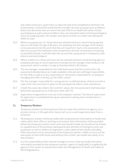and, where necessary, supervision, to allow the task to be completed at minimum risk to themselves. It should be noted that this includes not only young persons as defined below, but also those who are new to the task. Effects on health and safety include psychological as well as physical effects. Due care should be taken to limit psychological stress by assigning tasks, the number and nature of which are within the individual's ability to cope.

- 10.3 Where young persons (i.e. those who have attained minimum school-leaving age but who are still under the age of 18 years) are employed, the line manager shall conduct a risk assessment into the work that they are to perform. Such a risk assessment will take into account the individual's lack of experience and lack of awareness of existing or potential hazards. It will also take into account the young person's immaturity, both physical and psychological.
- 10.4 Where children (i.e. those who have not yet reached minimum school-leaving age) are employed, perhaps on work-experience training, the line manager shall conduct a risk assessment, which is similar in scope to that described in 10.3 above.
- 10.5 The line manager responsible for the child shall ensure that the results of the risk assessment detailed above are made available to the persons with legal responsibility for the child, as well as to any organisation or third party responsible for arranging or managing the child's training, e.g. the child's school.
- 10.6 The line manager responsible for a young person, as defined above, shall ensure that a copy of the risk assessment is given to the young person before work commences.
- 10.7 In both the cases described in 10.3 and 10.4. above, the risk assessment shall take place before the young person or child starts work with JTL.
- 10.8 Supervision of apprentices is set out in the employer contract. The level of supervision for apprentices is established during pre-placement vetting and is monitored on a regular basis.

#### **11. Temporary Workers**

Temporary workers are those persons that are under the control of an agency, via a private contract, or through other means such as on a work experience basis from a school etc.

- 11.1 All temporary workers will be provided with comprehensive information on health and safety within their office or working environment. Such information will be provided before the temporary worker starts work and should include, but should not be limited to, a guided tour of the premises, paying particular attention to emergency exits and equipment as well as welfare arrangements, a description of the Health and Safety Policy document and an assessment of the temporary worker's ability to carry out the tasks given to them effectively and without risks to their own health and safety, or to that of others.
- 11.2 It is the responsibility of the relevant manager to ensure that any health and safety information provided by the temporary worker's agency (if applicable) is supplied by the agency to the worker (a requirement under the Management of Health and Safety at Work Regulations).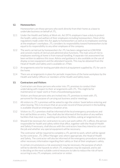#### **12. Homeworkers**

Homeworkers are those persons who work directly from their home as a base to undertake business on behalf of JTL.

- 12.1 Under the Health and Safety at Work etc. Act 1974, employers have a duty to protect the health, safety and welfare of their employees including homeworkers. Most of the regulations made under this Act apply to homeworkers as well as to employees working at the employer's workplace. JTL considers its responsibility toward homeworkers to be equal to its responsibility to any other employee of the company.
- 12.2 The work carried out by homeworkers for JTL has been categorised as LOW RISK and consists mainly of clerical and administrative functions. The main area of risk to employees working at home is from manual handling. A separate risk assessment has been written to address this issue. Advice and guidance is also available on the use of display screen equipment and the attendant hazards. This may be obtained from the Head of Health and Safety and is available on JTNet.
- 12.3 Arrangements exist for testing portable electrical equipment supplied by JTL for use in the home.
- 12.4 There are arrangements in place for periodic inspections of the home workplace by the Health and Safety Officers or members of the Health and Safety team.

#### **13. Contractors and Visitors**

Contractors are those persons who enter into JTL premises to conduct their undertaking with respect to their arrangements with JTL. This might be for maintenance or repair work or from a housekeeping purpose.

Visitors are those persons who are invited into JTL premises to meet with JTL personnel for the purpose of carrying out business and/or meetings.

- 13.1 All visitors to JTL's premises will be asked to sign the visitors' book before entering and when leaving. This is to ensure that an accurate record of those present in the building is available should an emergency situation arise.
- 13.2 Visitors to JTL's premises shall be informed of the local emergency procedures and first-aid facilities on entry. They shall also be informed of the location of any welfare facilities that may exist i.e. washing and sanitary facilities, eating arrangements etc.
- 13.3 Should it be necessary for contractors to carry out work within JTL's offices, the person responsible for health and safety within that office, together with the Head of Health and Safety if necessary, shall discuss with the contractors how they intend to carry out the job and whether any special equipment will be necessary.

The contractor will be required to complete a JTL permit to work, which will be signed by the contractor, JTL Office Manager and, where appropriate, the Head of Health and Safety. The contractor will also be informed of the emergency procedures and any other necessary information regarding their safety or that of their employee's safety.

In certain circumstances a risk assessment may be necessary, the purpose of which will be to identify the hazards to which JTL employees may be exposed, and to aid in deciding on the most suitable control measures to take to reduce the risk of harm occurring to any JTL employee, contractor or visitor.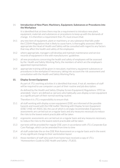#### 14. **Introduction of New Plant, Machinery, Equipment, Substances or Procedures into the Workplace**

It is identified that at times there may be a requirement to introduce new plant, equipment, materials and substances or procedures to keep up with the demands of change. It is therefore a requirement that JTL must ensure that:

- 14.1 any new item of equipment, plant or machinery, or any substance that falls under the COSHH Regulations that is likely to cause harm, is thoroughly assessed. Where appropriate the Head of Health and Safety will be consulted with regard to any factors that may affect the health and safety of the employees
- 14.2 where appropriate, managers will develop and maintain maintenance and service records of equipment in line with manufacturers' guidelines
- 14.3 all new procedures concerning the health and safety of employees will be assessed by the Health and Safety Working Party, the members of which are the employee's appointed representatives
- 14.4 appropriate training will be given in new plant, machinery, equipment substances or procedures in the workplace if necessary, taking into account the risk assessment and consultation with the Health and Safety Working Party.

#### **15. Display Screen Equipment**

As part of JTL's working activities it is identified that most, if not all, members of staff will be required to use computers as part of their routine and job description.

As defined by the Health and Safety (Display Screen Equipment) Regulations 1992 (as amended), 'Users' are defined as 'persons who habitually uses display screen equipment as a significant part of their normal working routine'.

Therefore it is JTL's responsibility to ensure that:

- 15.1 all staff working with display screen equipment (DSE) are informed of the possible hazards and issued with the HSE leaflet 'Working with Display Screen Equipment (DSE)' (HSE ref: INDG 36), the use of which is strongly recommended. Ergonomic assessments are carried out on a regular basis and any measures necessary to reduce the risks to the lowest extent practicable will be taken
- 15.2 ergonomic assessments are carried out on a regular basis and any measures necessary to reduce the risks to the lowest extent practicable will be taken
- 15.3 eye tests will be provided for regular DSE users in accordance with JTL's Corporate Eye Care Package, which can be amended from time to time
- 15.4 all staff undertake the on-line DSE Risk Assessment on a regular basis and in the event of any significant change to their workstation layout
- 15.5 those members of staff who work from home have received a copy of JTL's 'Homeworkers Guide to DSE Health and Safety' JTL833.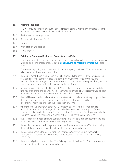#### **16. Welfare Facilities**

JTL will provide suitable and sufficient facilities to comply with the Workplace (Health and Safety and Welfare Regulations), which provide:

- 16.1 Rest areas and eating of meals
- 16.2 Suitable drinking water facilities
- 16.3 Lighting
- 16.4 Workstation and seating
- 16.5 Maintenance

#### **17. Driving on Company Business – Competence to Drive**

Employees who drive either company or privately owned vehicles on company business must abide by the procedures set out in JTL's Driving at Work Policy (JTL825) at all times.

Therefore, regarding employees who drive on company business, JTL must ensure that all relevant employees are aware that:

- 17.1 they must meet the minimum legal eyesight standards for driving. If you are required to wear glasses or contact lenses as a condition of your fitness to drive, you are responsible for ensuring that you wear them at all times when driving and that you have spare eyewear in your vehicle in case of need at all times
- 17.2 a risk assessment (as per the Driving at Work Policy JTL825) has been made and the findings brought to the attention of all relevant employees. The risk is reviewed at least annually and sent to all employees. It is also available on JTNet
- 17.3 they will be required to validate their competence to drive by submitting a copy of their driving licence upon commencement of employment. Employees will also be required to give their consent to a check of their licence at any time
- 17.4 where they drive their own cars on JTL company business, they are required to maintain insurance at all times, which includes business insurance as part of their insurance policy and, where required, a current MoT certificate. Employees will also be required to give their consent to a check of their MoT certificate at any time
- 17.5 they are required, at all times, to comply with prevailing legislation concerning the use of alcohol, prescribed and unprescribed drugs whilst driving
- 17.6 those who are prescribed drugs, and other medications, which may affect their ability to drive safely, are required to refrain from driving on company business
- 17.7 they are responsible for maintaining their company/own vehicle in a roadworthy condition in compliance with the Road Traffic Act and JTL's Driving at Work Policy (JTL825)
- 17.8 they are obligated to refer to the JTL's Driving at Work Policy (JTL825) for employment requirements on driving on company business.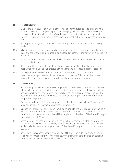#### **18. Housekeeping**

One of the main causes of injury in offices has been attributed to slips, trips and falls. Attention to sound principles of good housekeeping will help to minimise the risk to employees. In addition to employer's and employees' duties with regards to health and safety, JTL will ensure, so far as is reasonably practicable, that all employees are aware that:

- 18.1 floors, passageways and stairwells should be kept clear of obstructions and trailing leads
- 18.2 all rubbish must be placed in a suitable container and cleared away regularly. Broken glass and other sharp objects should be disposed of carefully and never left exposed in a waste bin
- 18.3 paper and other combustible materials should be stored and used away from obvious sources of ignition
- 18.4 drawers and filing cabinets should not be overloaded, neither should drawers be left open when not in use as this creates a trip hazard and increases the risk of toppling
- 18.5 spilt liquids should be cleaned up immediately. If the area remains wet after the spill has been cleared, employees should be informed to take care. This also applies where vinyl or wooden floors have recently been cleaned by mopping and remain wet.

#### **19. Lone Working**

In the HSE guidance document 'Working Alone', a lone worker is defined as someone who works by themselves without close or direct supervision. Establishing a healthy and safe working environment for lone workers can be different from organising the health and safety of other employees. They should not be put at more risk than other people working for you.

Duties carried out by field staff frequently require them to work alone. Therefore JTL must ensure that all relevant employees are aware that:

- 19.1 a generic risk assessment has been compiled to bring to the attention of staff the risks to which they might be exposed when lone working. Where it is felt necessary for an individual staff risk assessment, this will be completed by the Head of Health and Safety in liaison with the HR Manager
- 19.2 personal safety devices are available for issue to those members of staff for whom the risk assessment shows it is necessary, or for those who may require one. These will be made available after contacting the Head of Health and Safety and on completion of a risk assessment
- 19.3 under no circumstances should a member of JTL staff who is driving alone offer a lift to any party whose identity is not well known to them. Further guidance on personal safety is available from the Head of Health and Safety.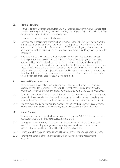#### **20. Manual Handling**

Manual Handling Operations Regulations 1992 (as amended) define manual handling as: *"...any transporting or supporting of a load (including the lifting, putting down, pushing, pulling, carrying or moving thereof) by hand or bodily force".*

Therefore JTL must ensure that all employees:

- 20.1 receive a short programme of instruction in manual handling. This training follows the principles of manual handling as laid down in the Approved Code of Practice for the Manual Handling Operations Regulations 1992. When employees join the company, arrangements will be made for them to receive such manual handling training as may be necessary
- 20.2 are aware that suitable and sufficient risk assessments are carried out on all manual handling tasks and employees are told of any significant risks. Employees should never attempt to lift a weight unless they are satisfied that they can do so safely and without harm to themselves, others in the vicinity or the load itself. They should assess the size and shape of each load, the prevailing environmental factors and know their own limitations before attempting to lift any object. If manual handling cannot be avoided, where possible they should always seek to use some mechanical means of lifting and carrying (e.g. sack trolley or similar), or seek assistance in moving the load.

#### **21. New and Expectant Mother**

Female employees of childbearing age, or who are expectant or new mothers, are covered by the Management of Health and Safety at Work Regulations 1999, the Workplace (Health, Safety and Welfare) Regulations 1992 and the Equality Act 2010.

- 21.1 A suitable and sufficient assessment of the risks for JTL employees of childbearing age, those who have given birth in the previous six months or who are breastfeeding, has been undertaken. The results will be made known to relevant employees as required.
- 21.2 The employee should advise her line manager as soon as the pregnancy is confirmed, whereupon she will be issued with a copy of the risk assessment detailed in 20.2.

#### **22. Young Persons**

Young persons are people who have not reached the age of 18. A child is a person who has not reached the minimum school leaving age of 16

- 22.1 Young person who has been placed in a low risk environment like a JTL office, with everyday risks, existing arrangements are adequate but will be assessed upon placement to ensure their continual health, safety and welfare.
- 22.2 information training and supervision will be provided for the young person's needs.
- 22.3 Parents and careers of the young person will be informed of the assessments accordingly.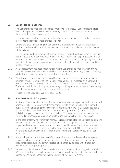#### **23. Use of Mobile Telephones**

The use of mobile phones has become a modern prevalence. JTL recognises the fact that mobile phones are issued to the majority of staff for business purposes, and that those staff drive on company business.

JTL also recognises that the use of mobile phones whilst driving has long been a major factor into the causes of road traffic accidents.

Due to the laws surrounding the use of mobile phones whilst in control of a motor vehicle, 'hands-free kits' are allowed for use to prevent physical use of mobile phones whilst driving.

JTL will not provide recompense for hands-free kits bought by those persons who wish them. Those employees who have 'built-in' hands-free systems (e.g. Bluetooth) in their vehicles can use them but only if and when it is safe to do so and proving they find a safe place to pull over as soon as possible to prevent risk to their health and safety and that of other road users.

- 23.1 A risk assessment has been made regarding the use of mobile phones whilst driving. The risk assessment refers to the likelihood of an accident occurring whilst conducting a telephone conversation while the vehicle is in motion.
- 23.2 Whilst mobile phones may be required for work purposes and to summon help in an emergency, no JTL employee shall make or receive a call or message on a handheld mobile phone whilst driving a vehicle, unless it is parked and is safe to do so. The Road Traffic Act definition of driving includes using a mobile phone while the car is stationary with the engine running and the keys are in the ignition.

Please refer to Driving at Work Policy JTL825.

#### **24. Portable Electrical Equipment**

All items of portable electrical equipment which require testing or inspection are tested or inspected by JTL employees deemed competent to do so. Such testing is carried out at intervals of no longer than those established within the HSE's guidelines. Table 1, overleaf, describes the HSE's recommended testing intervals (source: HSE/IEE). This table suggests minimum initial test periods. The frequency of inspection may be reviewed if information obtained on faults found indicates that this is necessary.

In the case of staff who work from home, JTL is responsible for the electrical equipment they provide for use at work. Such equipment shall be subjected to an annual visual inspection by the user to ensure it is still safe to use. However, if and when required, such equipment shall be tested within the appropriate period. JTL is not responsible for the employee's electrical installation, or for items of privately owned electrical equipment.

- 24.1 Any employee who identifies any defect on any item of portable electrical equipment is to inform their immediate superior at the earliest possible opportunity. Under no circumstances should any item suspected of being faulty be used until it has been examined by a competent person.
- 24.2 Where possible, all items of portable electrical equipment shall be plugged directly into a 13 amp socket outlet. Under no circumstances should a socket outlet be overloaded by exceeding the rated capacity of that socket outlet, normally 13 amps.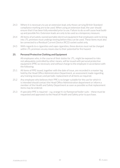- 24.3 Where it is necessary to use an extension lead, only those carrying British Standard compliance marking are to be used. When using an extension lead, the user should ensure that it has been fully extended prior to use. Failure to do so will cause heat buildup and possible fire. Extension leads are only to be used as a temporary measure.
- 24.4 All items of privately-owned portable electrical equipment that employees wish to bring into JTL premises must undergo testing before they can be used. These items must also be connected to a Residual Current Device (RCD) socket outlet only.
- 24.5 With regards to e-cigarettes and vape-cigarettes, these devices must not be charged within JTL premises via any means due to their potential for fire hazard.

#### **25. Personal Protective Clothing and Equipment**

All employees who, in the course of their duties for JTL, might be exposed to risks not adequately controlled by other means, will be issued with personal protective equipment (PPE) as necessary and without charge to the employee in accordance with the following:

- 25.1 All items of PPE issued, together with the date of issue, are recorded in a master log held by the Head Office Administration Department, an assessment made regarding any training necessary and periodic replacement of all items as required.
- 25.2 Any employee who believes their PPE is no longer suitable for the use for which it is intended should contact the Head Office Administration department or inform a member of the Health and Safety Department as soon as possible so that replacement items may be ordered.
- 25.3 If specialist PPE is required e.g. orange hi-viz flameproof boiler suits these must be requested and approved via the Head of Health and Safety prior to purchase.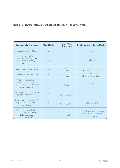# **Table 1. Pat Testing Intervals – Offices and other Low Risk Environments**

| <b>Equipment/Environment</b>                                                                               | <b>User Checks</b> | <b>Formal Visual</b><br><b>Inspection</b> | <b>Combined Inspection and Testing</b>                                     |
|------------------------------------------------------------------------------------------------------------|--------------------|-------------------------------------------|----------------------------------------------------------------------------|
| Battery Operated (<20Volts)                                                                                | <b>No</b>          | <b>No</b>                                 | <b>No</b>                                                                  |
| Extra Low Voltage:<br>(<50V A/C) e.g. telephone<br>equipment, low-voltage<br>desk lights                   | <b>No</b>          | No                                        | Class II                                                                   |
| Desktop computers, VDUs                                                                                    | <b>No</b>          | Yes<br>1year                              | No<br>otherwise up to 4 years                                              |
| Photocopiers, fax machines                                                                                 | <b>No</b>          | Yes<br>2 years                            | No, if Class II<br>otherwise up to 2 years                                 |
| Class II equipment, not<br>hand-held and moved<br>occasionally e.g. fans, table lamps,<br>slide projectors | <b>No</b>          | Yes<br>2 years                            | No                                                                         |
| Class II equipment - hand-held<br>e.g. some floor cleaners                                                 | Yes                | Yes<br>6 months-1year                     | <b>No</b>                                                                  |
| Earthed equipment (class 1)<br>e.g. electric kettles, some<br>floor cleaners                               | Yes                | Yes<br>$6$ months $-1$ year               | Yes, 1-2 years                                                             |
| Cables (leads) and plugs<br>connected to the above<br>Extension leads<br>(mains voltage)                   | Yes                | Yes<br>12 months                          | Yes, 1-2 years depending on<br>the type of equipment it is<br>connected to |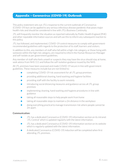# **Appendix – Coronavirus (COVID-19) Outbreak**

This policy statement sets out JTL's response to the current outbreak of Coronavirus (COVID-19) but can be applied to any serious infectious disease pandemic that poses major health risks and should be considered in line with JTL's Business Continuity.

JTL will frequently monitor the situation as reported nationally by Public Health England (PHE) and other reputable information sources and will use this to inform any subsequent reaction to this policy.

JTL has followed, and implemented, COVID-19 control measures to comply with governmentrecommended guidelines with regards to the protection of its staff, learners and visitors.

In addition to this, any members of staff who fall within a high-risk category, or those living with someone within the high risk category, are required to inform the Human Resources Manager and self-isolate as per government guidelines.

Any member of staff who feels unwell or suspects they may have the virus should stay at home, seek advice from NHS 111 and follow the self-isolation guidance issued by the NHS.

All JTL premises have been assessed and made COVID-19 secure in line with government guidelines. These measures include but are not limited to:

- **•** completing COVID-19 risk assessment for all JTL group premises
- **•** providing additional cleaning, hand washing and hygiene facilities
- **•** providing staff with the facility to work remotely
- **•** introducing social distancing measures and guidance across all JTL group premises
- **•** implementing cleaning, hand washing and hygiene procedures in line with guidance
- **•** taking all reasonable steps to help people work from home
- **•** taking all reasonable steps to maintain a 2m distance in the workplace
- **•** doing everything practical to manage transmission risk where people cannot be 2m apart.

#### **Communication:**

- **•** JTL has a dedicated Coronavirus (COVID-19) information section on its intranet 'JTL Central' which is updated regularly with the latest information.
- **•** JTL has a dedicated Coronavirus (COVID-19) Information section on its website which is regularly updated with the latest information.
- **•** A dedicated Coronavirus (COVID-19) induction will be completed when first attending JTL premises.